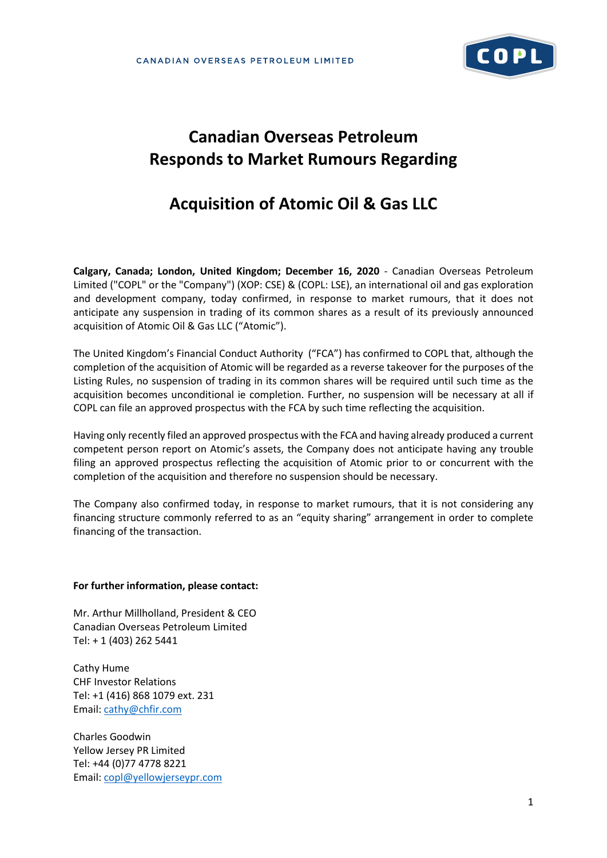

# **Canadian Overseas Petroleum Responds to Market Rumours Regarding**

## **Acquisition of Atomic Oil & Gas LLC**

**Calgary, Canada; London, United Kingdom; December 16, 2020** - Canadian Overseas Petroleum Limited ("COPL" or the "Company") (XOP: CSE) & (COPL: LSE), an international oil and gas exploration and development company, today confirmed, in response to market rumours, that it does not anticipate any suspension in trading of its common shares as a result of its previously announced acquisition of Atomic Oil & Gas LLC ("Atomic").

The United Kingdom's Financial Conduct Authority ("FCA") has confirmed to COPL that, although the completion of the acquisition of Atomic will be regarded as a reverse takeover for the purposes of the Listing Rules, no suspension of trading in its common shares will be required until such time as the acquisition becomes unconditional ie completion. Further, no suspension will be necessary at all if COPL can file an approved prospectus with the FCA by such time reflecting the acquisition.

Having only recently filed an approved prospectus with the FCA and having already produced a current competent person report on Atomic's assets, the Company does not anticipate having any trouble filing an approved prospectus reflecting the acquisition of Atomic prior to or concurrent with the completion of the acquisition and therefore no suspension should be necessary.

The Company also confirmed today, in response to market rumours, that it is not considering any financing structure commonly referred to as an "equity sharing" arrangement in order to complete financing of the transaction.

#### **For further information, please contact:**

Mr. Arthur Millholland, President & CEO Canadian Overseas Petroleum Limited Tel: + 1 (403) 262 5441

Cathy Hume CHF Investor Relations Tel: +1 (416) 868 1079 ext. 231 Email: [cathy@chfir.com](mailto:cathy@chfir.com)

Charles Goodwin Yellow Jersey PR Limited Tel: +44 (0)77 4778 8221 Email: [copl@yellowjerseypr.com](mailto:copl@yellowjerseypr.com)